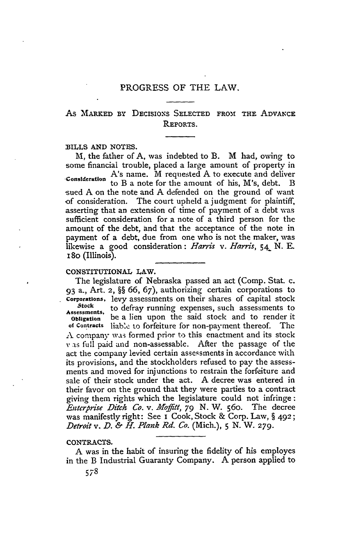# As MARKED BY DECISIONS SELECTED FROM THE ADVANCE REPORTS.

### BILLS AND NOTES.

M, the father of A, was indebted to B. M had, owing to some financial trouble, placed a large amount of property in A's name. M requested A to execute and deliver **Consideration** to B a note for the amount of his, M's, debt. B sued A on the note and A defended on the ground of want of consideration. The court upheld a judgment for plaintiff, asserting that an extension of time of payment of a debt was sufficient consideration for a note of a third person for the amount of the debt, and that the acceptance of the note in payment of a debt, due from one who is not the maker, was likewise a good consideration: *Harris v. Harris, 54-* **N. E.** i8o (Illinois).

### CONSTITUTIONAL LAW.

The legislature of Nebraska passed an act (Comp. Stat. c. **<sup>93</sup>**a., Art. 2, §§ 66, 67), authorizing certain corporations to Corporations, levy assessments on their shares of capital stock **Stock** to defray running expenses, such assessments to **Assessments, Obligation** be a lien upon the said stock and to render it of Contracts liab'e to forfeiture for non-payment thereof. The **A** company was formed prior to this enactment and its stock v as full paid and non-assessable. After the passage of the act the company levied certain assessments in accordance with its provisions, and the stockholders refused to pay the assessments and moved for injunctions to restrain the forfeiture and sale of their stock under the act. A decree was entered in their favor on the ground that they were parties to a contract giving them rights which the legislature could not infringe: *Enterprise Ditch Co. v. Moffitt, 79 N. W. 560. The decree* was manifestly right: See I Cook, Stock & Corp. Law, § 492; *Detroit v. D. & H. Plank Rd. Co.* (Mich.), **5 N.** W. **279.**

## CONTRACTS.

A was in the habit of insuring the fidelity of his employes in the B Industrial Guaranty Company. A person applied to

578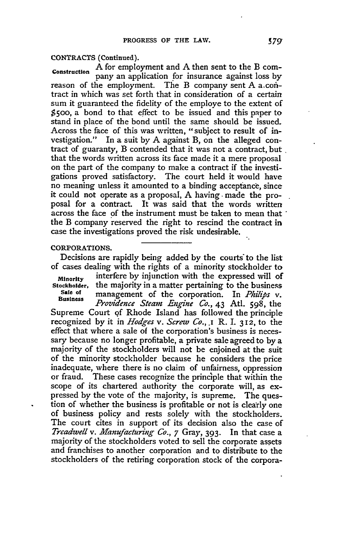CONTRACTS (Continued).

A for employment and **A** then sent to the B **corn-**Construction pany an application for insurance against loss by reason of the employment. The B company sent A a.contract in which was set forth that in consideration of a certain sum it guaranteed the fidelity of the employe to the extent of  $$500$ , a bond to that effect to be issued and this paper to stand in place of the bond until the same should be issued. Across the face of this was written, "subject to result of investigation." In a suit **by A** against B, on the alleged contract of guaranty, B contended that it was not a contract, but that the words written across its face made it a mere proposal on the part of the company to make a contract if the investigations proved satisfactory. The court held it would have no meaning unless it amounted to a binding acceptance, since it could not operate as a proposal, **A** having - made the proposal for a contract. It was said that the words written across the face of the instrument must be taken to mean that the B company reserved the right to rescind the contract in case the investigations proved the risk undesirable.

### **CORPORATIONS.**

Decisions are rapidly being added **by** the courts to the list of cases dealing with the rights of a minority stockholder to **Minority** interfere **by** injunction with the expressed will of

Stockholder, the majority in a matter pertaining to the business<br>Sale of management of the comparation. In *Philips ...* **Sale of** management of the corporation. In *Phili's v.* **B,,iness** *Providence Steam Engine Co.,* 43 Atl. 598, the

Business *Providence Steam Engine Co.*, 43 Atl. 598, the Supreme Court of Rhode Island has followed the principle recognized by it in *Hodges v. Screw Co., .I* R. 1. **312,** to the effect that where a sale of the corporation's business is necessary because no longer profitable, a private sale agreed to by a majority of the stockholders will not be enjoined at the suit of the minority stockholder because he considers the price inadequate, where there is no claim of unfairness, oppression or fraud. These cases recognize the principle that within the scope of its chartered authority the corporate will, as expressed by the vote of the majority, is supreme. The question of whether the business is profitable **or** not is clearly one of business policy and rests solely with the stockholders. The court cites in support of its decision also the case of *Treadwell v. Manufacturing Co., 7* Gray, **393.** In that case a majority of the stockholders voted to sell the corporate assets and franchises to another corporation and to distribute to the stockholders of the retiring corporation stock of the corpora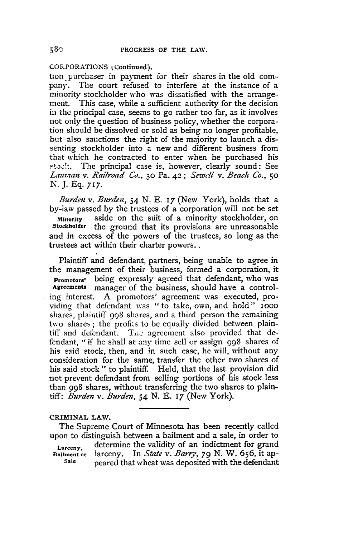CORPORATIONS **i** Continued).

tion purchaser in payment for their shares in the old company. The court refused to interfere at the instance of a minority stockholder who was dissatisfied with the arrangement. This case, while a sufficient authority for the decision in the principal case, seems to go rather too far, as it involves not only the question of business policy, whether the corporation should be dissolved or sold as being no longer profitable, but also sanctions the right of the majority to launch a dissenting stockholder into a new and different business from that which he contracted to enter when he purchased his **.5t.o::.** The principal case is, however, clearly sound: See *Lauman v. Railroad Co.,* **30** Pa. **42;** *Sewell v. Beach Co.,* **50** *N.* J. Eq. **717.**

*Burden v. Burden,* 54 N. E. 17 (New York), holds that a by-law passed by the trustees of a corporation will not be set Minority aside on the suit of a minority stockholder, on Stockholder the ground that its provisions are unreasonable the ground that its provisions are unreasonable and in excess of the powers of the trustees, so long as the trustees act within their charter powers..

Plaintiff and defendant, partners, being unable to agree in the management of their business, formed a corporation, it Promotors' being expressly agreed that defendant, who was manager of the business, should have a controling interest. A promotors' agreement was executed, providing that defendant was "to take, own, and hold" iooo shares, plaintiff 998 shares, and a third person the remaining two shares; the profits to be equally divided between plaintiff and defendant. The agreement also provided that defendant, "if he shall at any time sell or assign 998 shares of his said stock, then, and in such case, he will, without any consideration for the same, transfer the other two shares of his said stock" to plaintiff. Held, that the last provision did not prevent defendant from selling portions of his stock less than 998 shares, without transferring the two shares to plaintiff: *Burden v. Burden,* 54 N. E. *17* (New York).

### CRIMINAL LAW.

The Supreme Court of Minnesota has been recently called upon to distinguish between a bailment and a sale, in order to

Larceny, determine the validity of an indictment for grand Bailment **or** larceny. In *State v. Barry, 79* N. W. 656, it ap- **Sale** peared that wheat was deposited with the defendant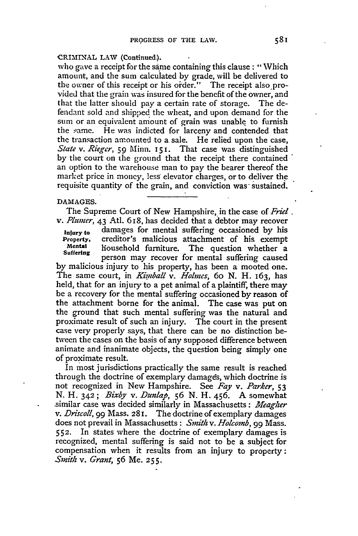## CRIMINAL **LAW (Continued).**

who gave a receipt for the same containing this clause: "Which amount, and the sum calculated by grade, will be delivered to the owner of this receipt or his order." The receipt also provided that the grain was insured for the benefit of the owner, and that the latter should pay a certain rate of storage. The defendant sold and shipped the wheat, and upon demand for the sum or an equivalent amount of grain was unable to furnish the same. He was indicted for larceny and contended that the transaction amounted to a sale. He relied upon the case, *State v. Rieger*, 59 Minn. **151.** That case was distinguished by the court on the ground that the receipt there contained an option to the warehouse man to pay the bearer thereof the market price in money, less elevator charges, or to deliver the requisite quantity of the grain, and conviction was sustained.

# **DAMAGES.**

The Supreme Court of New Hampshire, in the case of *Friel. v. Plumer,* 43 Atl. 618, has decided that a debtor may recover

**Injury** to damages for mental suffering occasioned by his Property, creditor's malicious attachment of his exempt<br>Mental household furniture. The question whether a<br>Suffering

**Suffering** person may recover for mental suffering caused by malicious injury to his property, has been a mooted one. The same court, in *Kimball v. Holmes*, 60 N. H. 163, has held, that for an injury to a pet animal of a plaintiff, there may be a recovery for the mental suffering occasioned by reason of the attachment borne for the animal. The case was put on the ground that such mental suffering was the natural and proximate result of such an injury. The court in the present case very properly says, that there can be no distinction between the cases on the basis of any supposed difference between animate and inanimate objects, the question being simply one of proximate result.

In most jurisdictions practically the same result is reached through the doctrine of exemplary damages, which doctrine is not recognized in New Hampshire. See *Fay v. Parker, 53* **N.** H. **342;** *Bixby v. Dunlap,* 56 **N.** H. 456. A somewhat -similar case was decided similarly in Massachusetts: *Meagher v. Driscoll, 99* Mass. **281.** The doctrine of exemplary damages does not prevail in Massachusetts **:** *Smith v. Holcomb, 99* Mass. **552.** In states where the doctrine of exemplary damages is recognized, mental suffering is said not to be a subject for compensation when it results from an injury to property: *Smitl v. Grant,* **56** Me. **255.**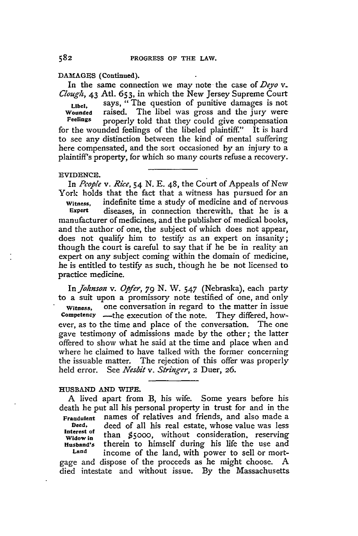### **DAMAGES** (Continued).

In the same connection we may note the case of *Deyo v. Clouglz,* 43 Atl. **653,** in which the New Jersey Supreme Court Libel, says, "The question of punitive damages is not **Wounded** raised. The libel was gross and the jury were **Feelings** properly told that they could give compensation for the wounded feelings of the libeled plaintiff." It is hard to see any distinction between the kind of mental suffering here compensated, and the sort occasioned by an injury to a plaintiff's property, for which so many courts refuse a recovery.

#### EVIDENCE.

In *Pcople v. Rice, 54* **N.** E. 48, the Court of Appeals of New York holds that the fact that a witness has pursued for an

**Witness,** indefinite time a study of medicine and of nervous diseases, in connection therewith, that he is a manufacturer of medicines, and the publisher of medical books, and the author of one, the subject of which does not appear, does not qualify him to testify as an expert on insanity; though the court is careful to say that if he be in reality an expert on any subject coming within the domain of medicine, he is entitled to testify as such, though he be not licensed to practice medicine.

In *Johnson v. Opfer, 79* **N.** W. 547 (Nebraska), each party to a suit upon a promissory note testified of one, and only Witness, one conversation in regard to the matter in issue **Competency** -the execution of the note. They differed, however, as to the time and place of the conversation. The one gave testimony of admissions made by the other; the latter offered to show what he said at the time and place when and where he claimed to have talked with the former concerning the issuable matter. The rejection of this offer was properly held error. See *Nesbit v. Stringer,* 2 Duer, 26.

### **HUSBAND AND WIFE.**

A lived apart from B, his wife. Some years before his death he put all his personal property in trust for and in the **Fraudulent** names of relatives and friends, and also made a **Deed,** deed of all his real estate, whose value was less **Interest of Widow in** than \$5000, without consideration, reserving **Husband's** therein to himself during his life the use and **Land** income of the land, with power to sell or mortgage and dispose of the proceeds as he might choose. A

died intestate and without issue. By the Massachusetts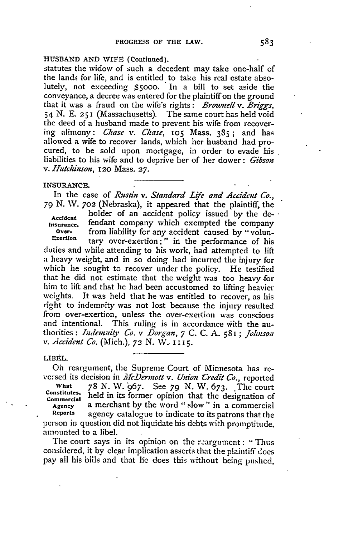### **HUSBAND AND** WIFE (Continued).

statutes the widow of such a decedent may take one-half of the lands for life, and is entitled to take his real estate absolutely, not exceeding **\$5000.** In a bill to set aside the conveyance, a decree was entered for the plaintiff on the ground that it was a fraud on the wife's rights: *Brownell v. Briggs,* 54 N. E. **251** (Massachusetts). The same court has held void the deed of a husband made to prevent his wife from recovering alimony: *Chase v. Chase,* 105 Mass. 385; and has allowed a wife to recover lands, which her husband had procured, to be sold upon mortgage, in order to evade his liabilities to his wife and to deprive her of her dower: *Gibson v. Hutchinson,* **120** Mass. **27.**

### **INSURANCE.**

In the case of *Rustin v. Standard Life and Accident Co.,* 79 N. W. 702 (Nebraska), it appeared that the plaintiff, the

**Accident** holder of an accident policy issued by the de-**Insurance,** fendant company which exempted the company **Over-** from liability for any accident caused **by** ' volun-Exertion tary over-exertion;" in the performance of his

duties and while attending to his work, had attempted to lift a heavy weight, and in so doing had incurred the injury for which he sought to recover under the policy. He testified that he did not estimate that the weight was too heavy for him to lift and that he had been accustomed to lifting heavier weights. It was held that he was entitled to recover, as his right to indemnity was not lost because the injury resulted from over-exertion, unless the over-exertion was conscious and intentional. This ruling is in accordance with the authorities: *Indemni4y Co. v Dorgan, 7* **C. C. A.** 581 ; *Johnson v. Accident Co.* (Mich.), **72** N. W: **I 115.**

### LIBEL.

Oh reargument, the Supreme Court of Minnesota has reve:sed its decision in *McDermott v. Union Credit Co.*, reported **What** 78 **N. W.** '967. See *79* **N.** W. 673. The court Constitutes, held in its former opinion that the designation of **Commercial Agency** a merchant by the word "slow" in a commercial **Reports** agency catalogue to indicate to its patrons that the person in question did not liquidate his debts with promptitude. amounted to a libel.

The court says in its opinion on the r.argument: **-** Thus considered, it by clear implication asserts that the plaintiff does pay all his bills and that lie does this without being pushed,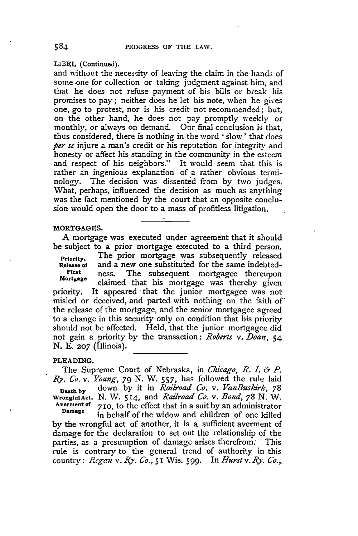LIBEL (Continued).

and without the necessity of leaving the claim in the hands of some one for collection or taking judgment against him, and that he does not refuse payment of his bills or break his promises to pay; neither does he let his note, when he gives one, go to protest, nor is his credit not recommended; but, on the other hand, he does not pay promptly weekly or monthly, or always on demand. Our final conclusion is that, thus considered, there is nothing in the word ' slow' that does *per se* injure a man's credit or his reputation for integrity and honesty or affect his standing in the community in the esteem and respect of his neighbors." It would seem that this is rather an ingenious explanation of a rather obvious terminology. The decision was dissented from by two judges. What, perhaps, influenced the decision as much as anything was the fact mentioned by the court that an opposite conclusion would open the door to a mass of profitless litigation.

### **MORTGAGES.**

**A** mortgage was executed under agreement that it should be subject to a prior mortgage executed to a third person.

Priority. The prior mortgage was subsequently released **Release of** and a new one substituted for the same indebted-<br>First ness. The subsequent mortgage thereupon First ness. The subsequent mortgagee thereupon<br>Mortgage claimed that his mortgage was thereby given priority. It appeared that the junior mortgagee was not -misled or deceived, and parted with nothing on the faith of the release of the mortgage, and the senior mortgagee agreed to a change in this security only on condition that his priority should not be affected. Held, that the junior mortgagee did not gain a priority by the transaction: *Roberts v. Doan,* 54 N. E. **207** (Illinois).

#### PLEADING.

The Supreme Court of Nebraska, in *Chicago, R. I. & P. Ry. Co. v. Young, 79* N. W. **557,** has followed the rule laid **Death by** down by it in *Railroad Co. v. VanBuskirk, 78* **WrongfulAct, N.** W. **514,** and *Railroad Co. v. Bond, 78* **N.** W. **Averment of** 7 *10,* to the effect that in a suit by an administrator **Datmage** in behalf of the widow and children of one killed

**by** the wrongful act of another, it is a sufficient averment of damage for the declaration to set out the relationship of the parties, as a presumption of damage arises therefrom: This rule is contrary to the general trend of authority in this country: *Regfan v. Ry. Co.,* 51 Wis. 599. In *Hurst v. Ry. Co.,.*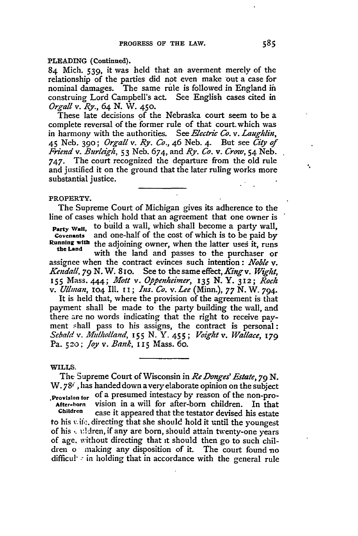# **PLEADING** (Continued).

84 Mich. **539,** it was held that an averment merely of the relationship of the parties did not even make out a case for nominal damages. The same rule is followed in England in construing Lord Campbell's act. See English cases cited in *Orgall* v. *Ry.,* 64 **N.** W. **450.**

These late decisions of the Nebraska court seem to be a complete reversal of the former rule of that court.which was in harmony with the authorities. See *Electric Co. v. Laughlin,* 45 Neb. **390;** *Orgall v. Ry. Co.,* 46 Neb. 4. But see *City of Friend v. Burlegl,* 53 Neb. 674, and *Ry. Co. v. Crow,* 54 Neb. 747. The court recognized the departure from the old rule and justified it on the ground that the later ruling works more substantial justice.

### PROPERTY.

The Supreme Court of Michigan gives its adherence to the line of cases which hold that an agreement that one owner is

**Party Wall,** to build a wall, which shall become a party wall, and one-half of the cost of which is to be paid by Running **with** the adjoining owner, when the latter uses it, runs

**the** Land with the land and passes to the purchaser or assignee when the contract evinces such intention: *Noble v. Kendall, 79* N. W. 81o. See to the same effect, *Kingv. Wight,* **155** Mass. 444; *Mott v. Oppenheimer, 135 N. Y. 312; Rock v. Ullman,* **Io4** Ill. **i i ;** *Ins. Co.* v. *Lee* (Minn.), *77* N. W. 794.

It is held that, where the provision of the agreement is that payment shall be made to the party building the wall, and there are no words indicating that the right to receive payment shall pass to his assigns, the contract is personal: *Sebald v.* Mulholland, *155 N.* **Y.** *455 ; Vight v. Wallace, 179* Pa. **5 20:** *Joy v. Bank, I* **15** Mass. 6o.

WILLS.

The Supreme Court of Wisconsin in *Re Donges' Estate*, 79 N. W. 78<sup> $\epsilon$ </sup>, has handed down a very elaborate opinion on the subject

**,Provision** for of a presumed intestacy by reason of the non-pro-After-horn **vision** in a will for after-born children. In that<br>Children case it appeared that the textor deviced his attack

case it appeared that the testator devised his estate to his  $x$ , if, directing that she should hold it until the youngest of his,. i:dren, if any are born, should attain twenty-one years of age. without directing that **it** should then go to such children o naking any disposition of it. The court found no difficu!" **:** in holding that in accordance with the general rule ¢,